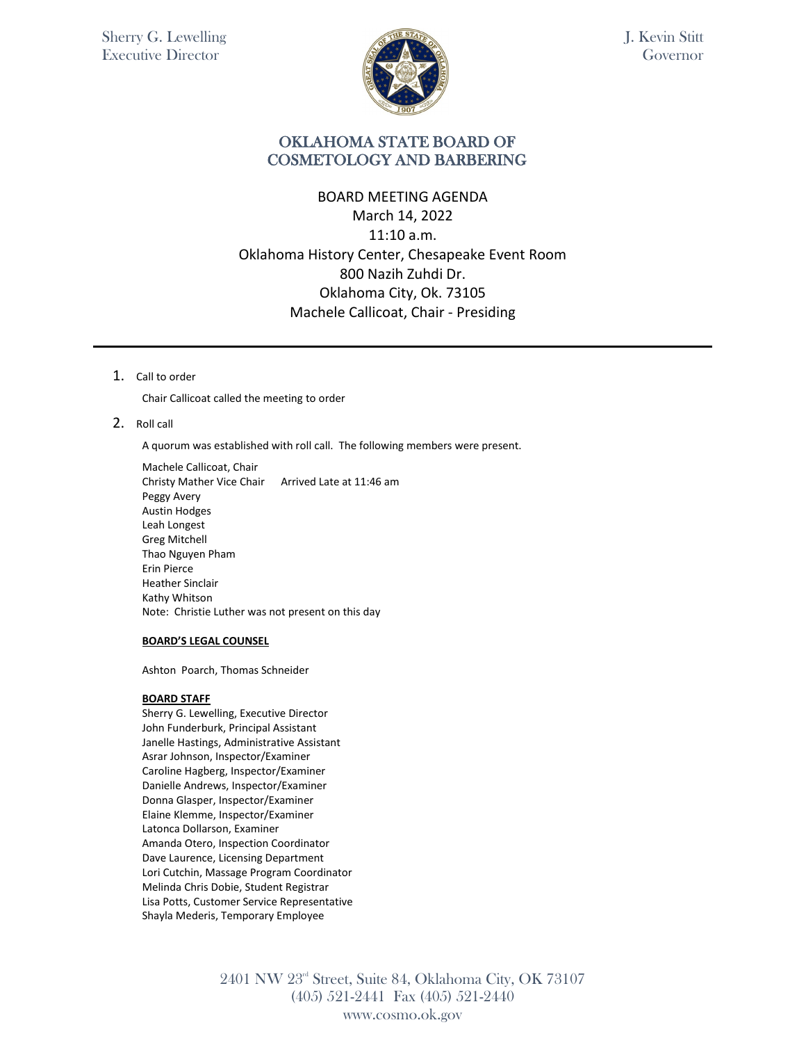

## OKLAHOMA STATE BOARD OF COSMETOLOGY AND BARBERING

# BOARD MEETING AGENDA March 14, 2022 11:10 a.m. Oklahoma History Center, Chesapeake Event Room 800 Nazih Zuhdi Dr. Oklahoma City, Ok. 73105 Machele Callicoat, Chair - Presiding

1. Call to order

Chair Callicoat called the meeting to order

#### 2. Roll call

A quorum was established with roll call. The following members were present.

Machele Callicoat, Chair Christy Mather Vice Chair Arrived Late at 11:46 am Peggy Avery Austin Hodges Leah Longest Greg Mitchell Thao Nguyen Pham Erin Pierce Heather Sinclair Kathy Whitson Note: Christie Luther was not present on this day

#### **BOARD'S LEGAL COUNSEL**

Ashton Poarch, Thomas Schneider

#### **BOARD STAFF**

Sherry G. Lewelling, Executive Director John Funderburk, Principal Assistant Janelle Hastings, Administrative Assistant Asrar Johnson, Inspector/Examiner Caroline Hagberg, Inspector/Examiner Danielle Andrews, Inspector/Examiner Donna Glasper, Inspector/Examiner Elaine Klemme, Inspector/Examiner Latonca Dollarson, Examiner Amanda Otero, Inspection Coordinator Dave Laurence, Licensing Department Lori Cutchin, Massage Program Coordinator Melinda Chris Dobie, Student Registrar Lisa Potts, Customer Service Representative Shayla Mederis, Temporary Employee

> 2401 NW 23rd Street, Suite 84, Oklahoma City, OK 73107 (405) 521-2441 Fax (405) 521-2440 www.cosmo.ok.gov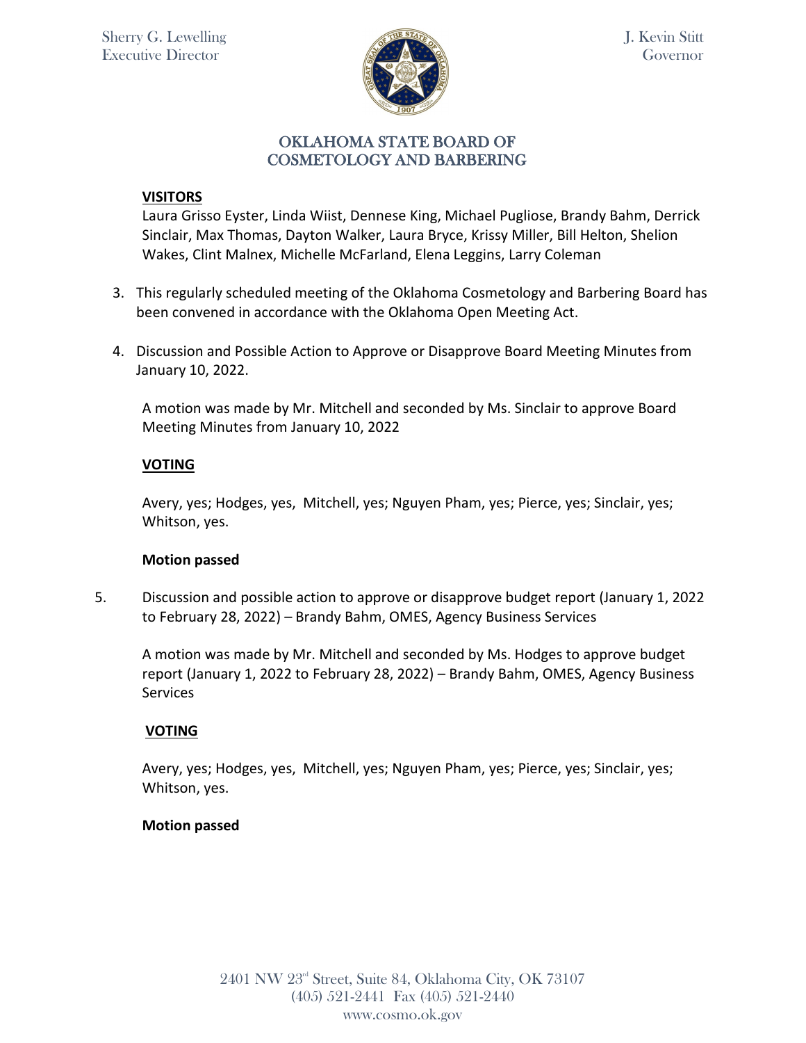

## **VISITORS**

Laura Grisso Eyster, Linda Wiist, Dennese King, Michael Pugliose, Brandy Bahm, Derrick Sinclair, Max Thomas, Dayton Walker, Laura Bryce, Krissy Miller, Bill Helton, Shelion Wakes, Clint Malnex, Michelle McFarland, Elena Leggins, Larry Coleman

- 3. This regularly scheduled meeting of the Oklahoma Cosmetology and Barbering Board has been convened in accordance with the Oklahoma Open Meeting Act.
- 4. Discussion and Possible Action to Approve or Disapprove Board Meeting Minutes from January 10, 2022.

A motion was made by Mr. Mitchell and seconded by Ms. Sinclair to approve Board Meeting Minutes from January 10, 2022

## **VOTING**

Avery, yes; Hodges, yes, Mitchell, yes; Nguyen Pham, yes; Pierce, yes; Sinclair, yes; Whitson, yes.

## **Motion passed**

5. Discussion and possible action to approve or disapprove budget report (January 1, 2022 to February 28, 2022) – Brandy Bahm, OMES, Agency Business Services

A motion was made by Mr. Mitchell and seconded by Ms. Hodges to approve budget report (January 1, 2022 to February 28, 2022) – Brandy Bahm, OMES, Agency Business **Services** 

# **VOTING**

Avery, yes; Hodges, yes, Mitchell, yes; Nguyen Pham, yes; Pierce, yes; Sinclair, yes; Whitson, yes.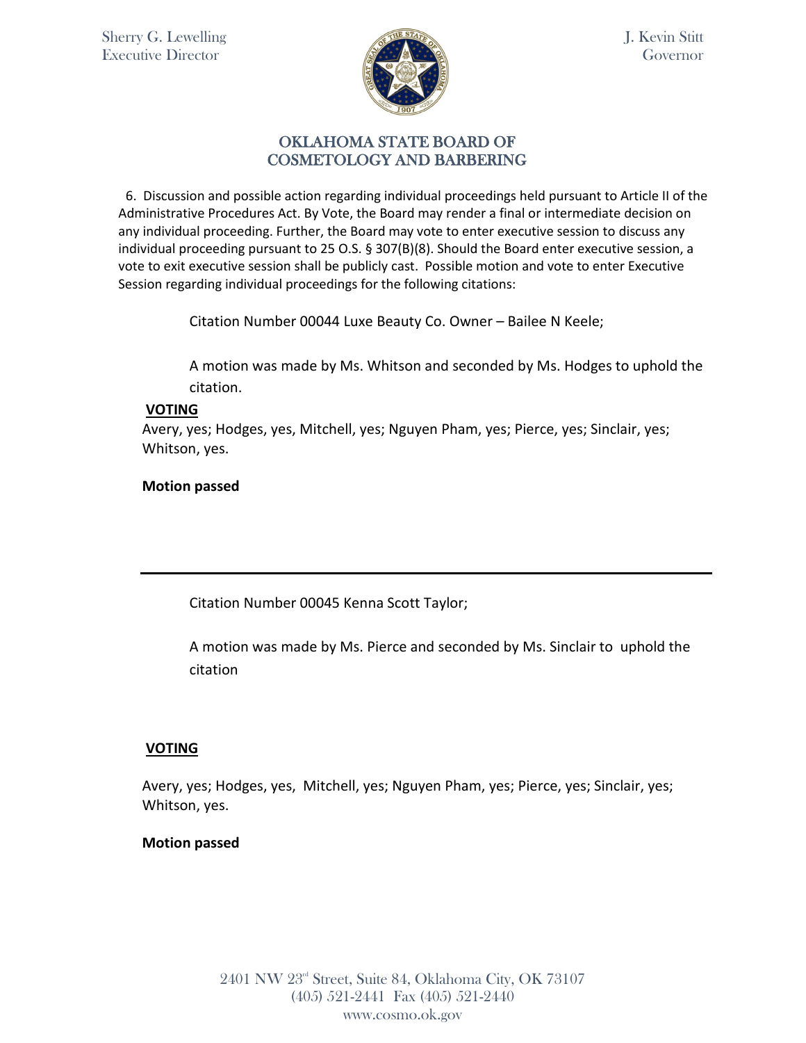

### OKLAHOMA STATE BOARD OF COSMETOLOGY AND BARBERING

 6. Discussion and possible action regarding individual proceedings held pursuant to Article II of the Administrative Procedures Act. By Vote, the Board may render a final or intermediate decision on any individual proceeding. Further, the Board may vote to enter executive session to discuss any individual proceeding pursuant to 25 O.S. § 307(B)(8). Should the Board enter executive session, a vote to exit executive session shall be publicly cast. Possible motion and vote to enter Executive Session regarding individual proceedings for the following citations:

Citation Number 00044 Luxe Beauty Co. Owner – Bailee N Keele;

A motion was made by Ms. Whitson and seconded by Ms. Hodges to uphold the citation.

### **VOTING**

Avery, yes; Hodges, yes, Mitchell, yes; Nguyen Pham, yes; Pierce, yes; Sinclair, yes; Whitson, yes.

### **Motion passed**

Citation Number 00045 Kenna Scott Taylor;

A motion was made by Ms. Pierce and seconded by Ms. Sinclair to uphold the citation

## **VOTING**

Avery, yes; Hodges, yes, Mitchell, yes; Nguyen Pham, yes; Pierce, yes; Sinclair, yes; Whitson, yes.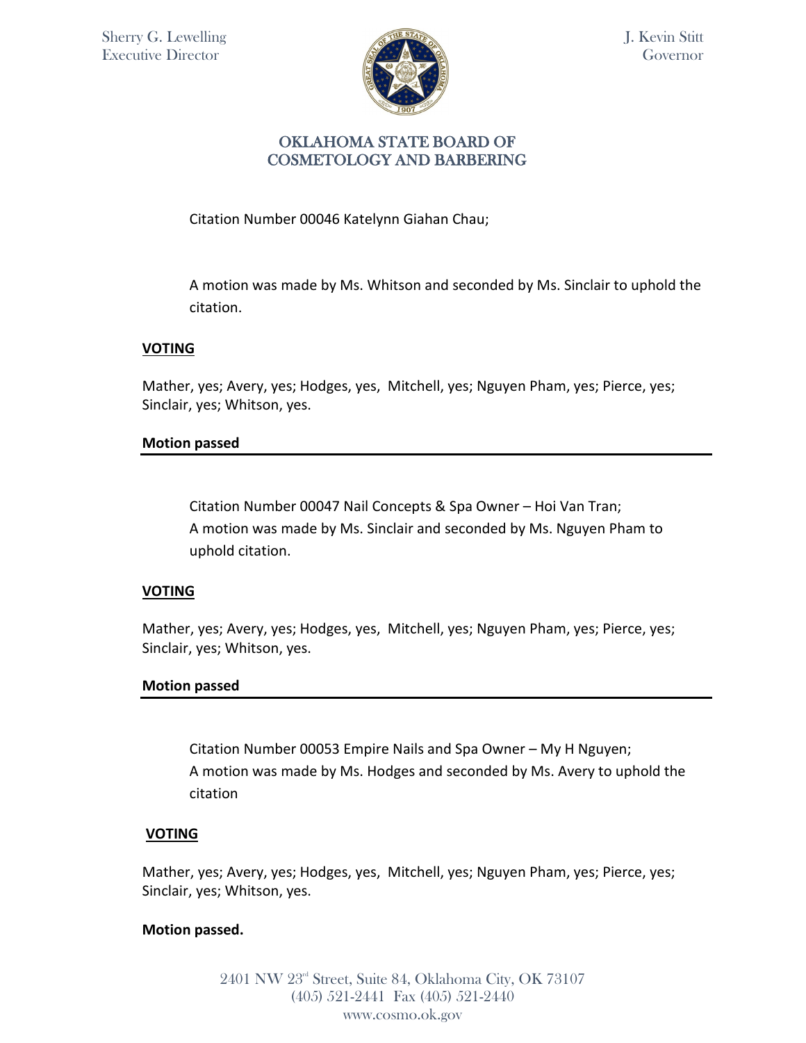

## OKLAHOMA STATE BOARD OF COSMETOLOGY AND BARBERING

Citation Number 00046 Katelynn Giahan Chau;

A motion was made by Ms. Whitson and seconded by Ms. Sinclair to uphold the citation.

## **VOTING**

Mather, yes; Avery, yes; Hodges, yes, Mitchell, yes; Nguyen Pham, yes; Pierce, yes; Sinclair, yes; Whitson, yes.

#### **Motion passed**

Citation Number 00047 Nail Concepts & Spa Owner – Hoi Van Tran; A motion was made by Ms. Sinclair and seconded by Ms. Nguyen Pham to uphold citation.

#### **VOTING**

Mather, yes; Avery, yes; Hodges, yes, Mitchell, yes; Nguyen Pham, yes; Pierce, yes; Sinclair, yes; Whitson, yes.

#### **Motion passed**

Citation Number 00053 Empire Nails and Spa Owner – My H Nguyen; A motion was made by Ms. Hodges and seconded by Ms. Avery to uphold the citation

#### **VOTING**

Mather, yes; Avery, yes; Hodges, yes, Mitchell, yes; Nguyen Pham, yes; Pierce, yes; Sinclair, yes; Whitson, yes.

#### **Motion passed.**

2401 NW 23rd Street, Suite 84, Oklahoma City, OK 73107 (405) 521-2441 Fax (405) 521-2440 www.cosmo.ok.gov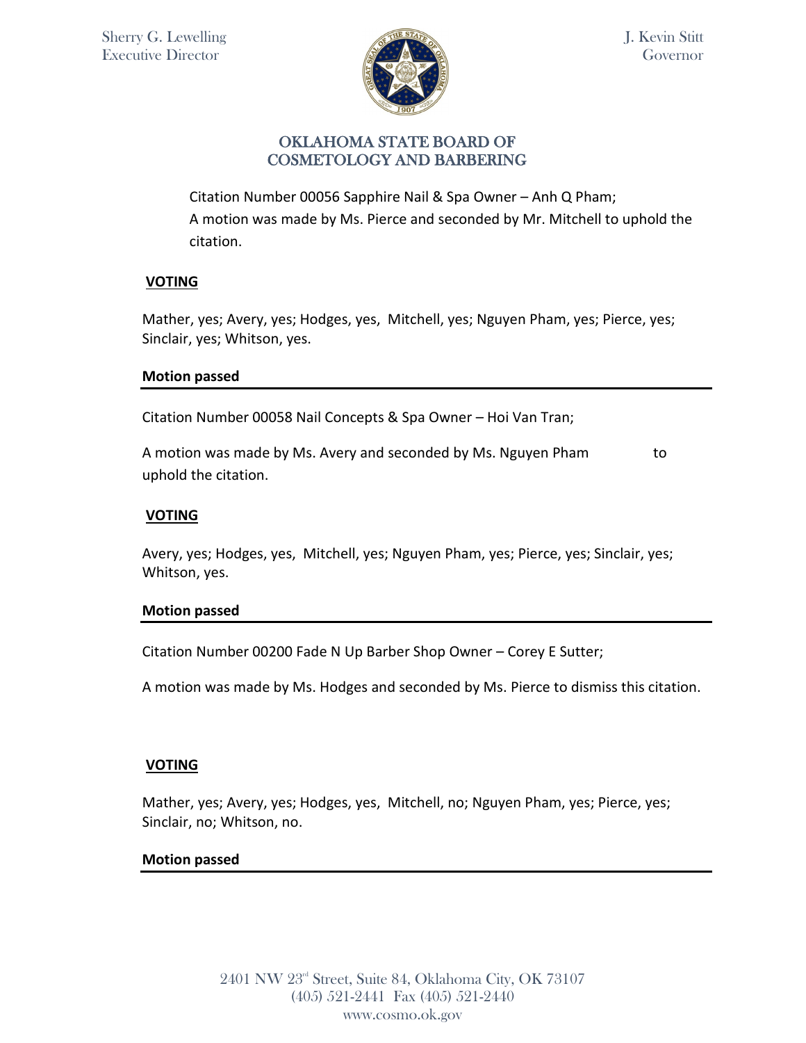

Citation Number 00056 Sapphire Nail & Spa Owner – Anh Q Pham; A motion was made by Ms. Pierce and seconded by Mr. Mitchell to uphold the citation.

## **VOTING**

Mather, yes; Avery, yes; Hodges, yes, Mitchell, yes; Nguyen Pham, yes; Pierce, yes; Sinclair, yes; Whitson, yes.

### **Motion passed**

Citation Number 00058 Nail Concepts & Spa Owner – Hoi Van Tran;

A motion was made by Ms. Avery and seconded by Ms. Nguyen Pham to uphold the citation.

### **VOTING**

Avery, yes; Hodges, yes, Mitchell, yes; Nguyen Pham, yes; Pierce, yes; Sinclair, yes; Whitson, yes.

#### **Motion passed**

Citation Number 00200 Fade N Up Barber Shop Owner – Corey E Sutter;

A motion was made by Ms. Hodges and seconded by Ms. Pierce to dismiss this citation.

## **VOTING**

Mather, yes; Avery, yes; Hodges, yes, Mitchell, no; Nguyen Pham, yes; Pierce, yes; Sinclair, no; Whitson, no.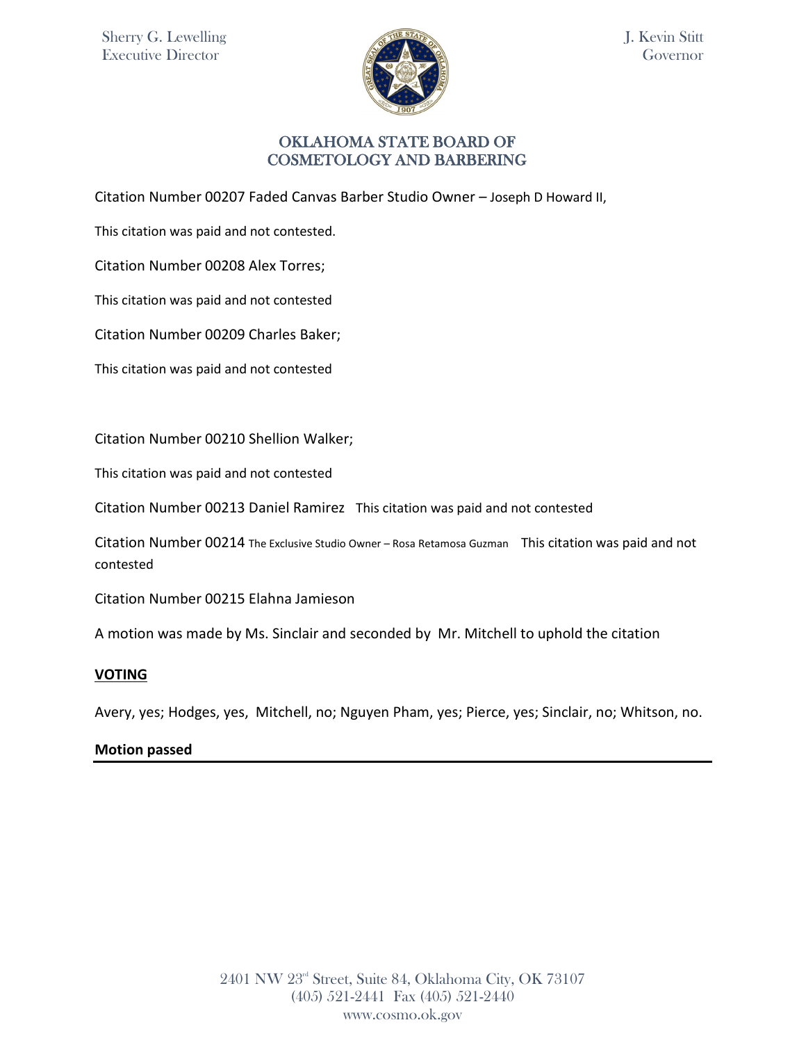

J. Kevin Stitt Governor

### OKLAHOMA STATE BOARD OF COSMETOLOGY AND BARBERING

Citation Number 00207 Faded Canvas Barber Studio Owner – Joseph D Howard II,

This citation was paid and not contested.

Citation Number 00208 Alex Torres;

This citation was paid and not contested

Citation Number 00209 Charles Baker;

This citation was paid and not contested

Citation Number 00210 Shellion Walker;

This citation was paid and not contested

Citation Number 00213 Daniel Ramirez This citation was paid and not contested

Citation Number 00214 The Exclusive Studio Owner – Rosa Retamosa Guzman This citation was paid and not contested

Citation Number 00215 Elahna Jamieson

A motion was made by Ms. Sinclair and seconded by Mr. Mitchell to uphold the citation

#### **VOTING**

Avery, yes; Hodges, yes, Mitchell, no; Nguyen Pham, yes; Pierce, yes; Sinclair, no; Whitson, no.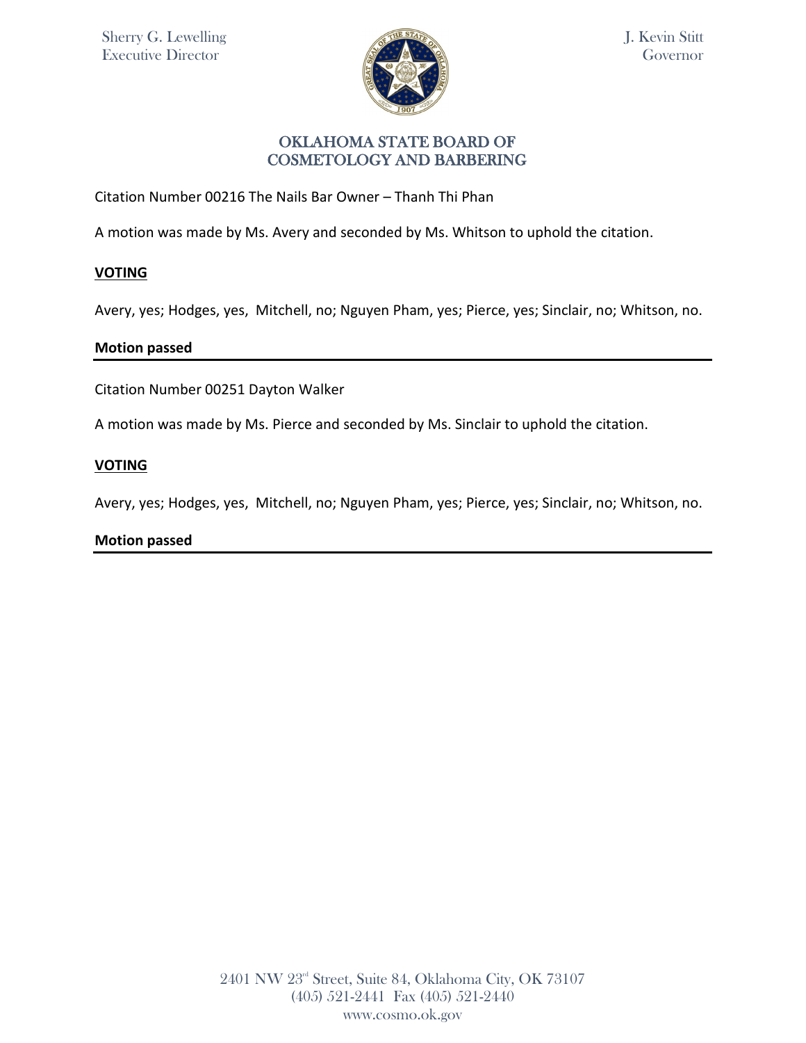

Citation Number 00216 The Nails Bar Owner – Thanh Thi Phan

A motion was made by Ms. Avery and seconded by Ms. Whitson to uphold the citation.

# **VOTING**

Avery, yes; Hodges, yes, Mitchell, no; Nguyen Pham, yes; Pierce, yes; Sinclair, no; Whitson, no.

### **Motion passed**

Citation Number 00251 Dayton Walker

A motion was made by Ms. Pierce and seconded by Ms. Sinclair to uphold the citation.

### **VOTING**

Avery, yes; Hodges, yes, Mitchell, no; Nguyen Pham, yes; Pierce, yes; Sinclair, no; Whitson, no.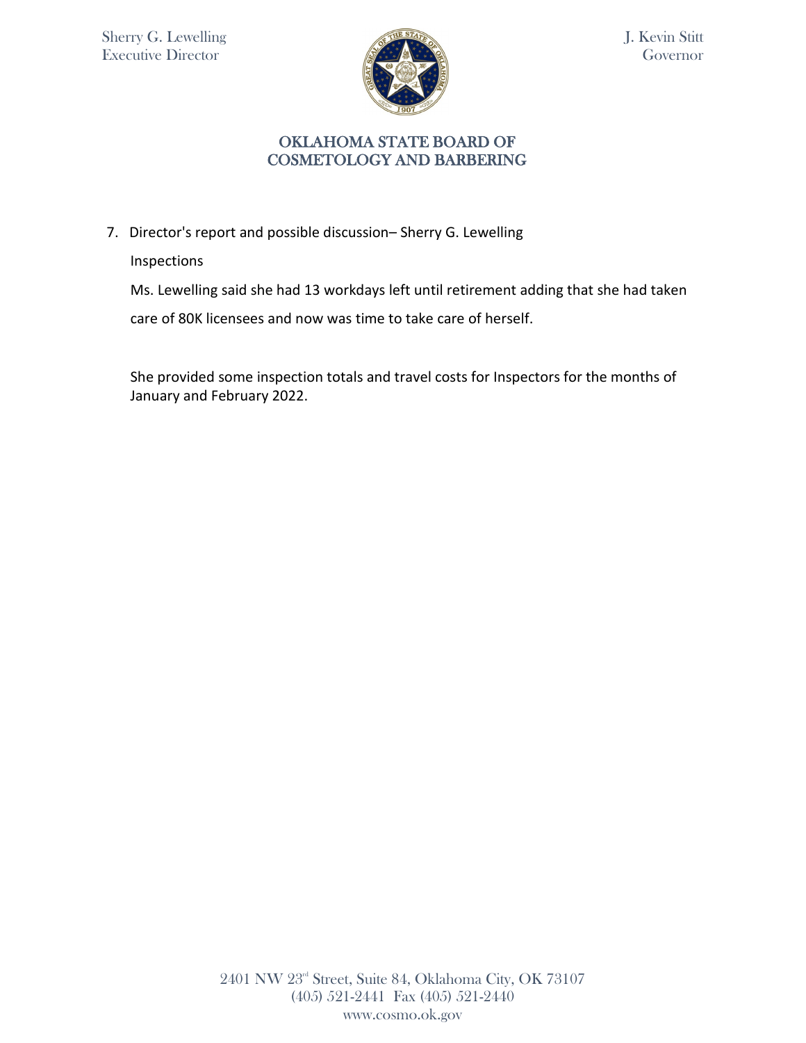

# OKLAHOMA STATE BOARD OF COSMETOLOGY AND BARBERING

7. Director's report and possible discussion– Sherry G. Lewelling

Inspections

Ms. Lewelling said she had 13 workdays left until retirement adding that she had taken

care of 80K licensees and now was time to take care of herself.

She provided some inspection totals and travel costs for Inspectors for the months of January and February 2022.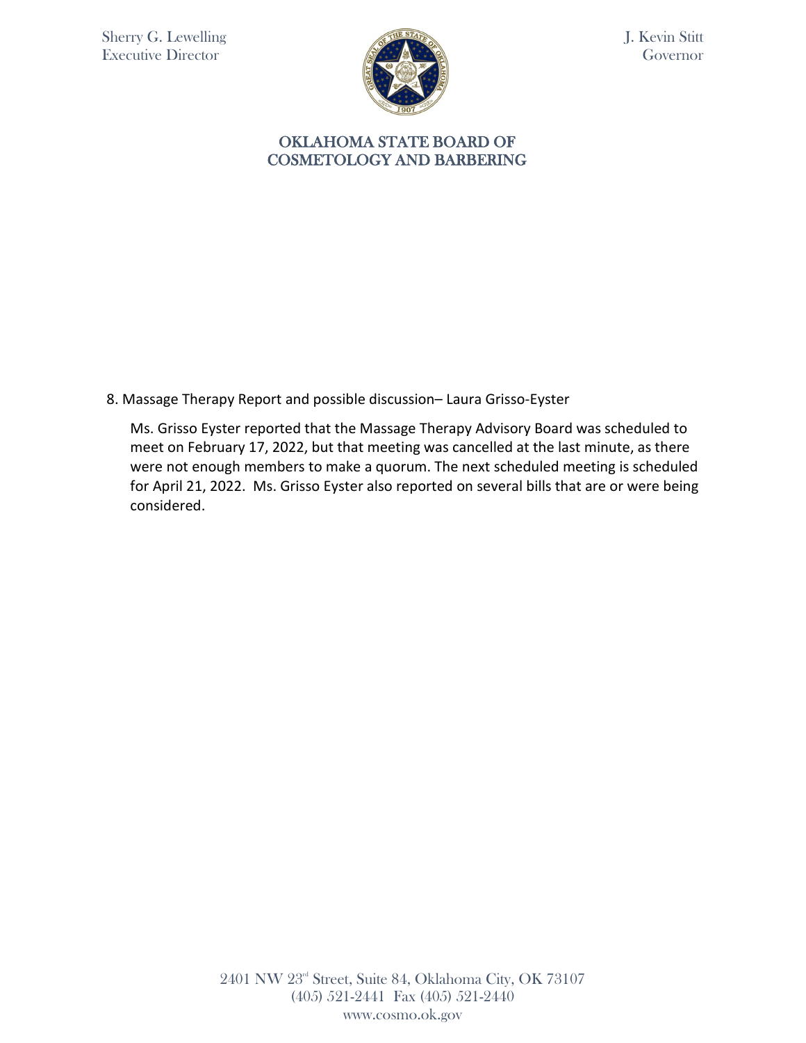

J. Kevin Stitt Governor

#### OKLAHOMA STATE BOARD OF COSMETOLOGY AND BARBERING

8. Massage Therapy Report and possible discussion– Laura Grisso-Eyster

Ms. Grisso Eyster reported that the Massage Therapy Advisory Board was scheduled to meet on February 17, 2022, but that meeting was cancelled at the last minute, as there were not enough members to make a quorum. The next scheduled meeting is scheduled for April 21, 2022. Ms. Grisso Eyster also reported on several bills that are or were being considered.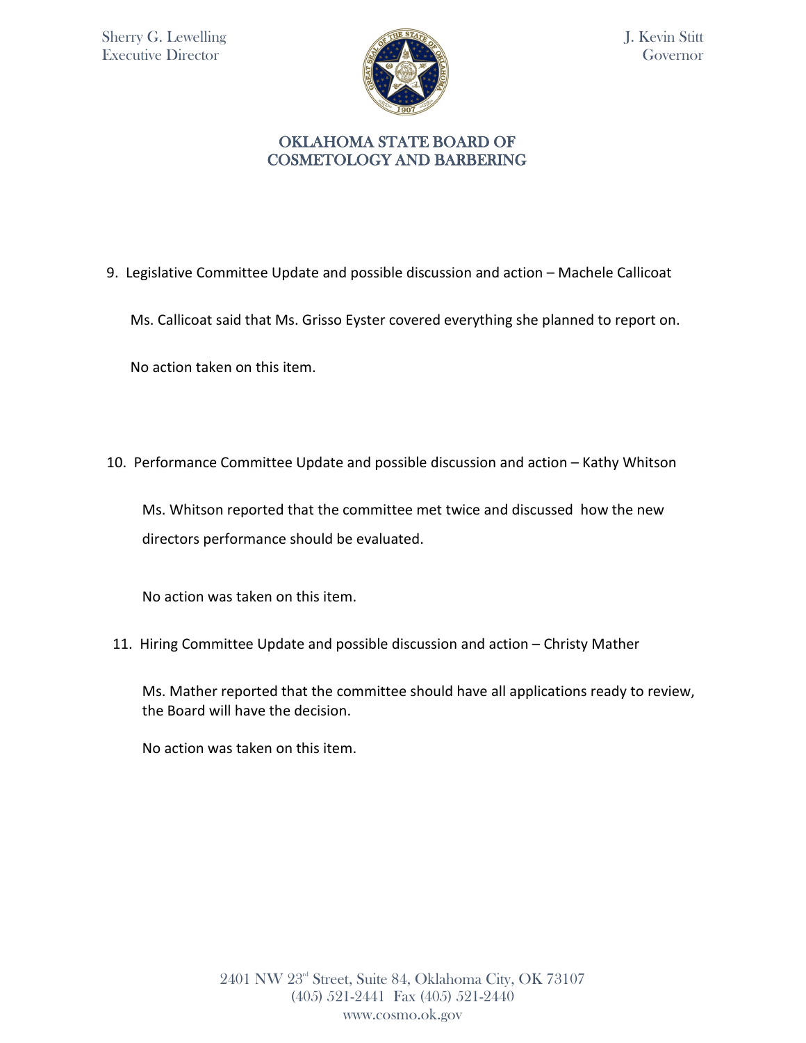

9. Legislative Committee Update and possible discussion and action – Machele Callicoat

Ms. Callicoat said that Ms. Grisso Eyster covered everything she planned to report on.

No action taken on this item.

10. Performance Committee Update and possible discussion and action – Kathy Whitson

Ms. Whitson reported that the committee met twice and discussed how the new directors performance should be evaluated.

No action was taken on this item.

11. Hiring Committee Update and possible discussion and action – Christy Mather

Ms. Mather reported that the committee should have all applications ready to review, the Board will have the decision.

No action was taken on this item.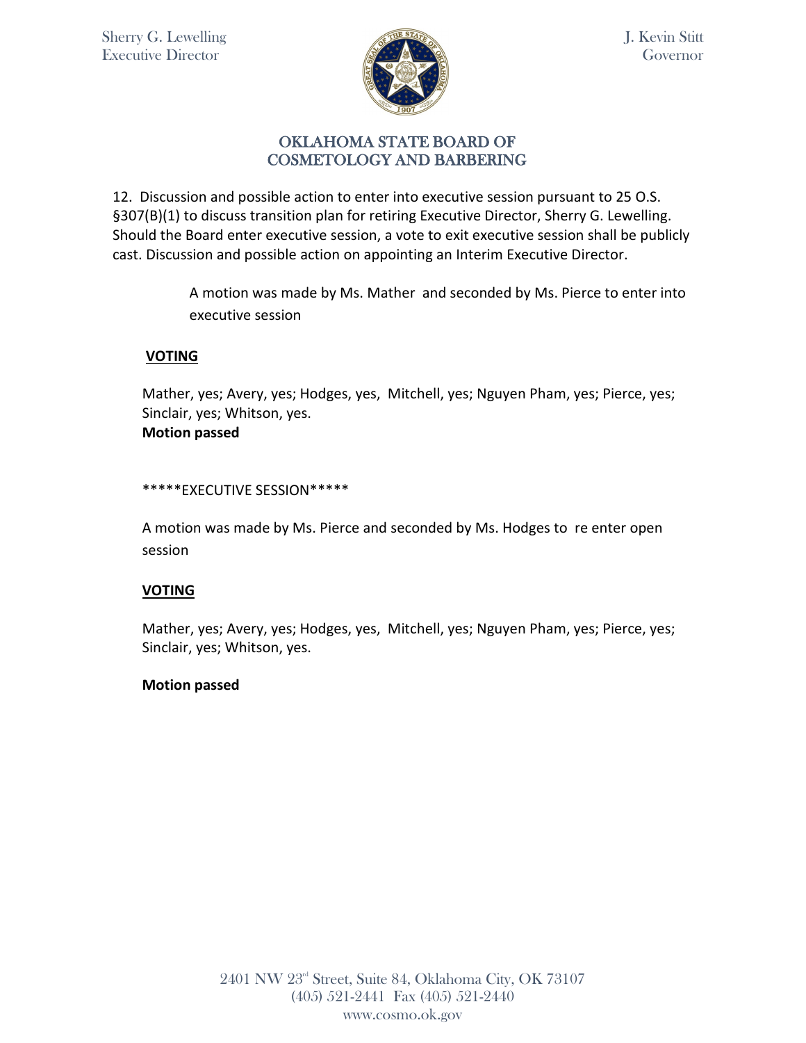

12. Discussion and possible action to enter into executive session pursuant to 25 O.S. §307(B)(1) to discuss transition plan for retiring Executive Director, Sherry G. Lewelling. Should the Board enter executive session, a vote to exit executive session shall be publicly cast. Discussion and possible action on appointing an Interim Executive Director.

> A motion was made by Ms. Mather and seconded by Ms. Pierce to enter into executive session

## **VOTING**

Mather, yes; Avery, yes; Hodges, yes, Mitchell, yes; Nguyen Pham, yes; Pierce, yes; Sinclair, yes; Whitson, yes. **Motion passed**

### \*\*\*\*\*EXECUTIVE SESSION\*\*\*\*\*

A motion was made by Ms. Pierce and seconded by Ms. Hodges to re enter open session

## **VOTING**

Mather, yes; Avery, yes; Hodges, yes, Mitchell, yes; Nguyen Pham, yes; Pierce, yes; Sinclair, yes; Whitson, yes.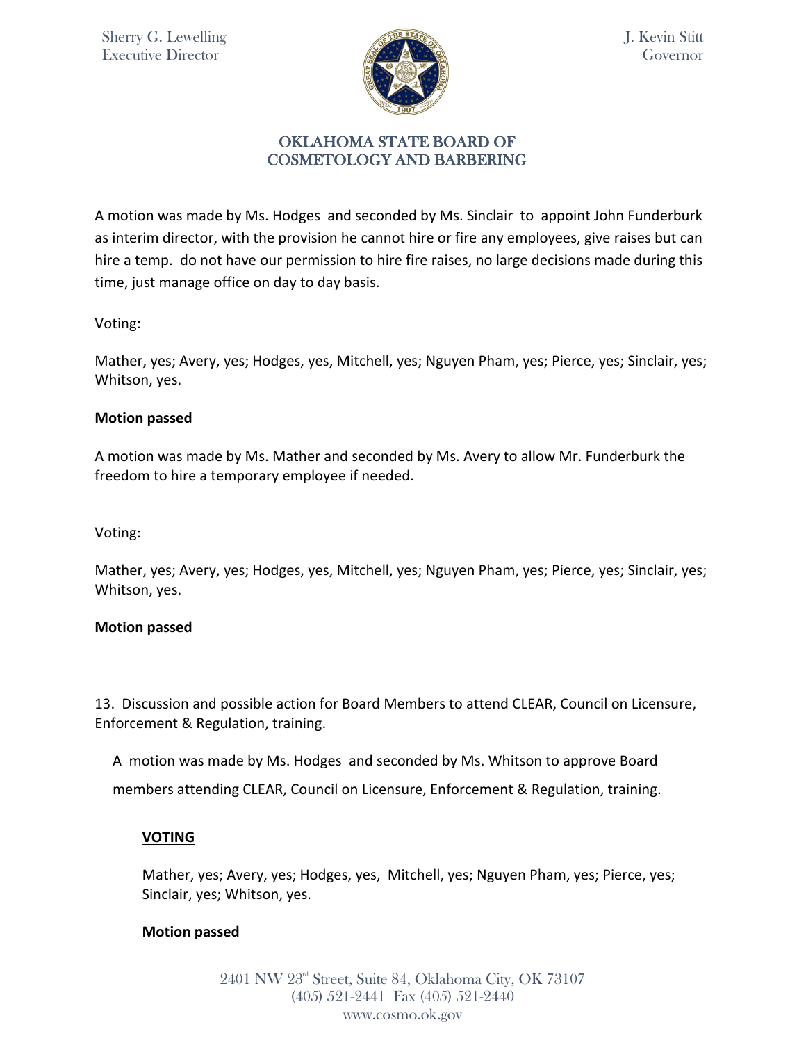

A motion was made by Ms. Hodges and seconded by Ms. Sinclair to appoint John Funderburk as interim director, with the provision he cannot hire or fire any employees, give raises but can hire a temp. do not have our permission to hire fire raises, no large decisions made during this time, just manage office on day to day basis.

Voting:

Mather, yes; Avery, yes; Hodges, yes, Mitchell, yes; Nguyen Pham, yes; Pierce, yes; Sinclair, yes; Whitson, yes.

#### **Motion passed**

A motion was made by Ms. Mather and seconded by Ms. Avery to allow Mr. Funderburk the freedom to hire a temporary employee if needed.

Voting:

Mather, yes; Avery, yes; Hodges, yes, Mitchell, yes; Nguyen Pham, yes; Pierce, yes; Sinclair, yes; Whitson, yes.

#### **Motion passed**

13. Discussion and possible action for Board Members to attend CLEAR, Council on Licensure, Enforcement & Regulation, training.

A motion was made by Ms. Hodges and seconded by Ms. Whitson to approve Board members attending CLEAR, Council on Licensure, Enforcement & Regulation, training.

## **VOTING**

Mather, yes; Avery, yes; Hodges, yes, Mitchell, yes; Nguyen Pham, yes; Pierce, yes; Sinclair, yes; Whitson, yes.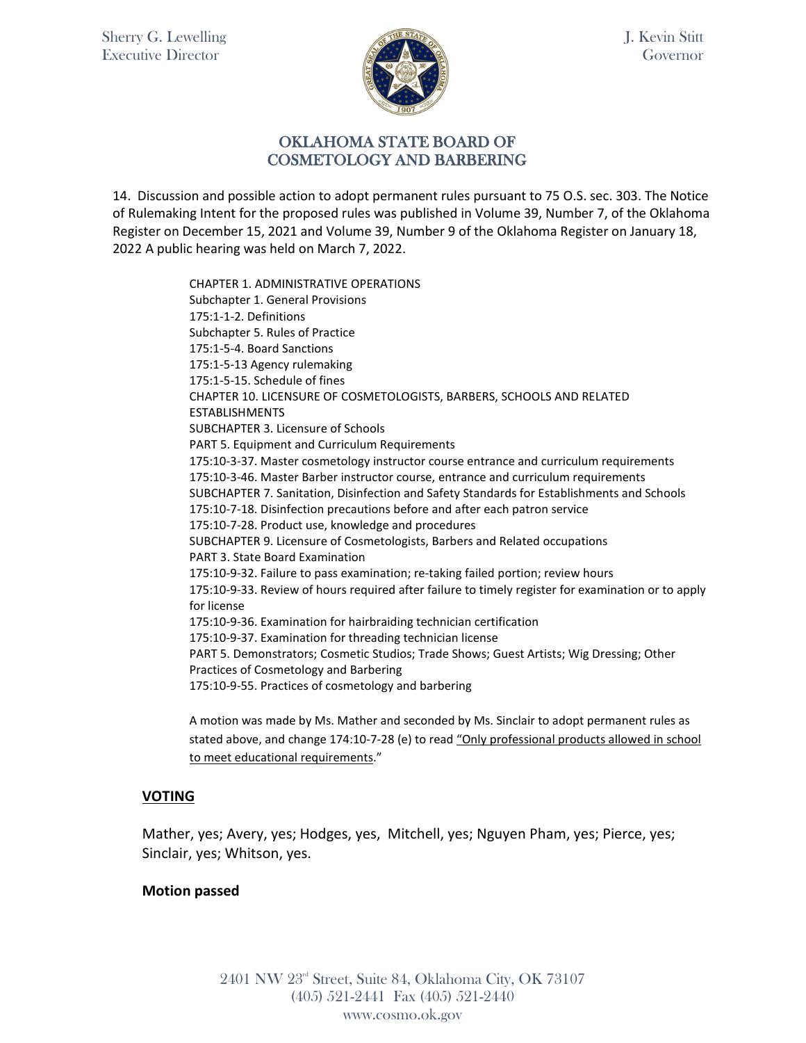

### OKLAHOMA STATE BOARD OF COSMETOLOGY AND BARBERING

14. Discussion and possible action to adopt permanent rules pursuant to 75 O.S. sec. 303. The Notice of Rulemaking Intent for the proposed rules was published in Volume 39, Number 7, of the Oklahoma Register on December 15, 2021 and Volume 39, Number 9 of the Oklahoma Register on January 18, 2022 A public hearing was held on March 7, 2022.

> CHAPTER 1. ADMINISTRATIVE OPERATIONS Subchapter 1. General Provisions 175:1-1-2. Definitions Subchapter 5. Rules of Practice 175:1-5-4. Board Sanctions 175:1-5-13 Agency rulemaking 175:1-5-15. Schedule of fines CHAPTER 10. LICENSURE OF COSMETOLOGISTS, BARBERS, SCHOOLS AND RELATED ESTABLISHMENTS SUBCHAPTER 3. Licensure of Schools PART 5. Equipment and Curriculum Requirements 175:10-3-37. Master cosmetology instructor course entrance and curriculum requirements 175:10-3-46. Master Barber instructor course, entrance and curriculum requirements SUBCHAPTER 7. Sanitation, Disinfection and Safety Standards for Establishments and Schools 175:10-7-18. Disinfection precautions before and after each patron service 175:10-7-28. Product use, knowledge and procedures SUBCHAPTER 9. Licensure of Cosmetologists, Barbers and Related occupations PART 3. State Board Examination 175:10-9-32. Failure to pass examination; re-taking failed portion; review hours 175:10-9-33. Review of hours required after failure to timely register for examination or to apply for license 175:10-9-36. Examination for hairbraiding technician certification 175:10-9-37. Examination for threading technician license PART 5. Demonstrators; Cosmetic Studios; Trade Shows; Guest Artists; Wig Dressing; Other Practices of Cosmetology and Barbering 175:10-9-55. Practices of cosmetology and barbering

A motion was made by Ms. Mather and seconded by Ms. Sinclair to adopt permanent rules as stated above, and change 174:10-7-28 (e) to read "Only professional products allowed in school to meet educational requirements."

## **VOTING**

Mather, yes; Avery, yes; Hodges, yes, Mitchell, yes; Nguyen Pham, yes; Pierce, yes; Sinclair, yes; Whitson, yes.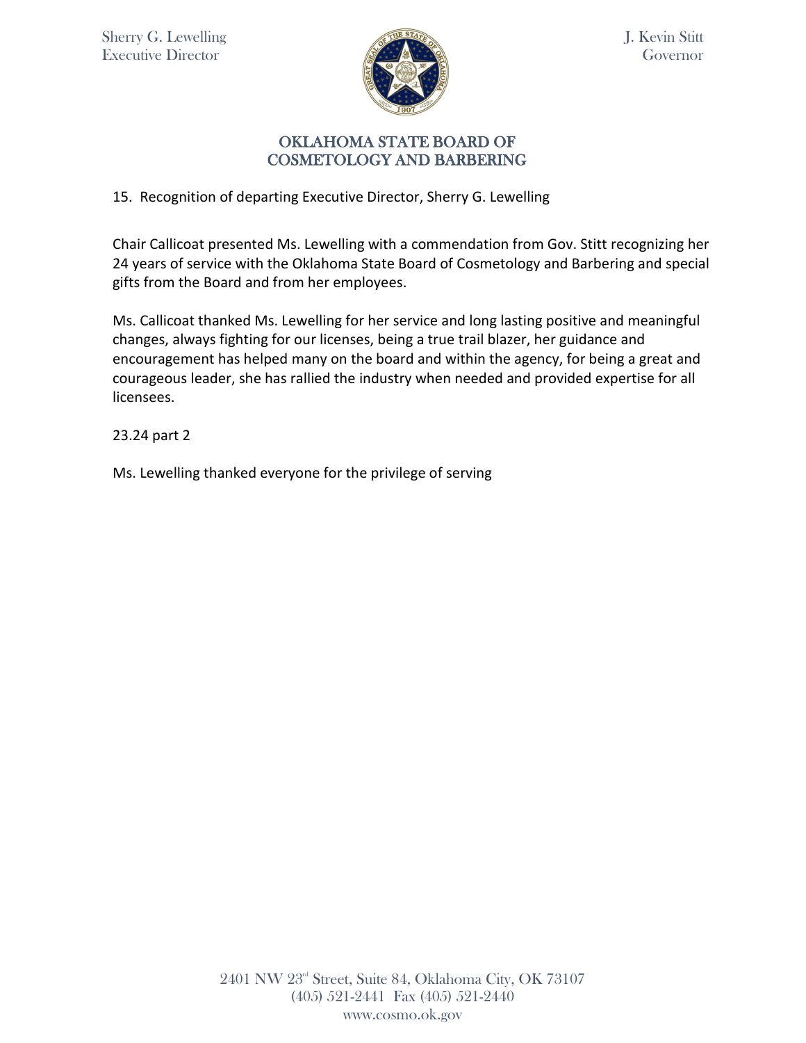

# OKLAHOMA STATE BOARD OF COSMETOLOGY AND BARBERING

# 15. Recognition of departing Executive Director, Sherry G. Lewelling

Chair Callicoat presented Ms. Lewelling with a commendation from Gov. Stitt recognizing her 24 years of service with the Oklahoma State Board of Cosmetology and Barbering and special gifts from the Board and from her employees.

Ms. Callicoat thanked Ms. Lewelling for her service and long lasting positive and meaningful changes, always fighting for our licenses, being a true trail blazer, her guidance and encouragement has helped many on the board and within the agency, for being a great and courageous leader, she has rallied the industry when needed and provided expertise for all licensees.

23.24 part 2

Ms. Lewelling thanked everyone for the privilege of serving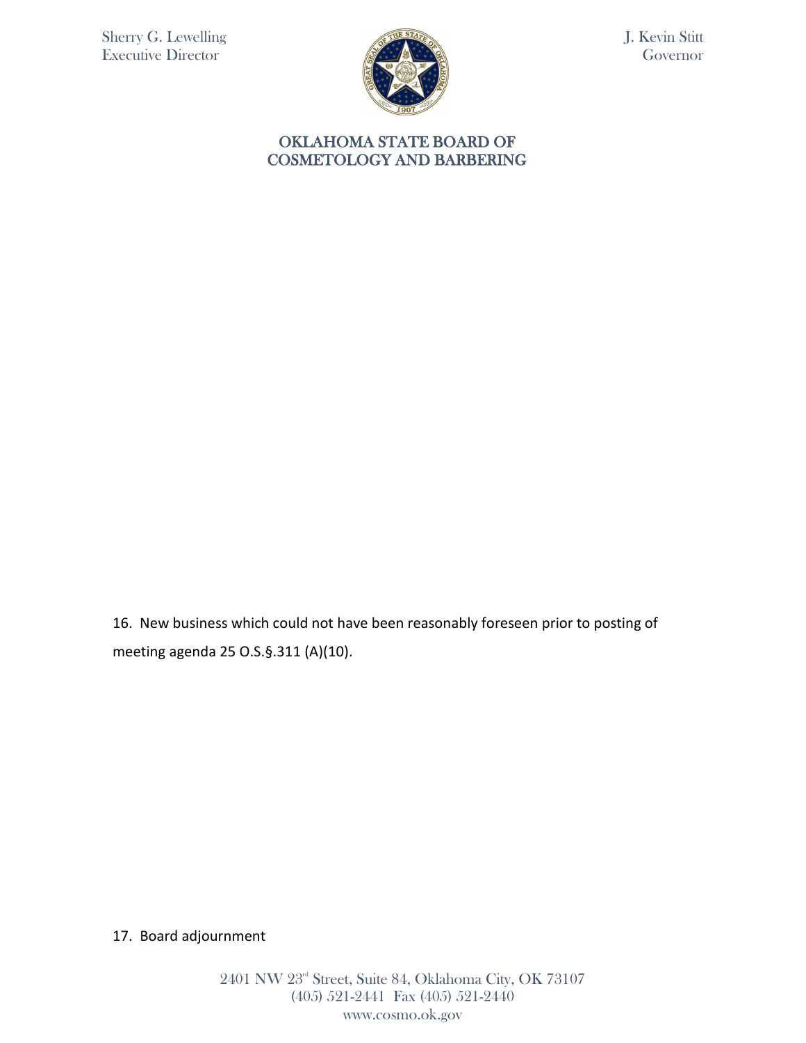

J. Kevin Stitt Governor

### OKLAHOMA STATE BOARD OF COSMETOLOGY AND BARBERING

16. New business which could not have been reasonably foreseen prior to posting of meeting agenda 25 O.S.§.311 (A)(10).

# 17. Board adjournment

2401 NW 23rd Street, Suite 84, Oklahoma City, OK 73107 (405) 521-2441 Fax (405) 521-2440 www.cosmo.ok.gov